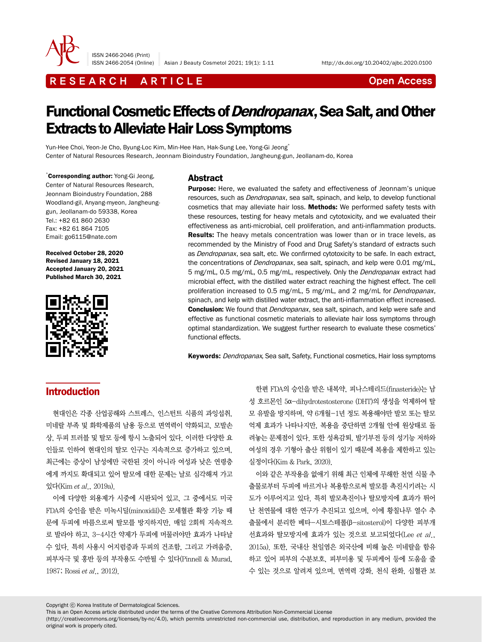

ISSN 2466-2046 (Print)

ISSN 2466-2054 (Online) Asian J Beauty Cosmetol 2021; 19(1): 1-11 http://dx.doi.org/10.20402/ajbc.2020.0100

# R E S E A R C H A R T I C L E CHE COME CONTROLLER CONTROLLER CONTROLLER CONTROLLER CONTROLLER CONTROLLER CONTROLLER CONTROLLER CONTROLLER CONTROLLER CONTROLLER CONTROLLER CONTROLLER CONTROLLER CONTROLLER CONTROLLER CONTROL

# Functional Cosmetic Effects of Dendropanax, Sea Salt, and Other Extracts to Alleviate Hair Loss Symptoms

Yun-Hee Choi, Yeon-Je Cho, Byung-Loc Kim, Min-Hee Han, Hak-Sung Lee, Yong-Gi Jeong\* Center of Natural Resources Research, Jeonnam Bioindustry Foundation, Jangheung-gun, Jeollanam-do, Korea

\* Corresponding author: Yong-Gi Jeong, Center of Natural Resources Research, Jeonnam Bioindustry Foundation, 288 Woodland-gil, Anyang-myeon, Jangheunggun, Jeollanam-do 59338, Korea Tel.: +82 61 860 2630 Fax: +82 61 864 7105 Email: go6115@nate.com

Received October 28, 2020 Revised January 18, 2021 Accepted January 20, 2021 Published March 30, 2021



#### Abstract

**Purpose:** Here, we evaluated the safety and effectiveness of Jeonnam's unique resources, such as *Dendropanax*, sea salt, spinach, and kelp, to develop functional cosmetics that may alleviate hair loss. Methods: We performed safety tests with these resources, testing for heavy metals and cytotoxicity, and we evaluated their effectiveness as anti-microbial, cell proliferation, and anti-inflammation products. Results: The heavy metals concentration was lower than or in trace levels, as recommended by the Ministry of Food and Drug Safety's standard of extracts such as Dendropanax, sea salt, etc. We confirmed cytotoxicity to be safe. In each extract, the concentrations of *Dendropanax*, sea salt, spinach, and kelp were 0.01 mg/mL, 5 mg/mL, 0.5 mg/mL, 0.5 mg/mL, respectively. Only the Dendropanax extract had microbial effect, with the distilled water extract reaching the highest effect. The cell proliferation increased to 0.5 mg/mL, 5 mg/mL, and 2 mg/mL for *Dendropanax*, spinach, and kelp with distilled water extract, the anti-inflammation effect increased. **Conclusion:** We found that *Dendropanax*, sea salt, spinach, and kelp were safe and effective as functional cosmetic materials to alleviate hair loss symptoms through optimal standardization. We suggest further research to evaluate these cosmetics' functional effects.

Keywords: Dendropanax, Sea salt, Safety, Functional cosmetics, Hair loss symptoms

# Introduction

현대인은 각종 산업공해와 스트레스, 인스턴트 식품의 과잉섭취, 미네랄 부족 및 화학제품의 남용 등으로 면역력이 약화되고, 모발손 상, 두피 트러블 및 탈모 등에 항시 노출되어 있다. 이러한 다양한 요 인들로 인하여 현대인의 탈모 인구는 지속적으로 증가하고 있으며, 최근에는 증상이 남성에만 국한된 것이 아니라 여성과 낮은 연령층 에게 까지도 확대되고 있어 탈모에 대한 문제는 날로 심각해져 가고 있다(Kim et al., 2019a).

이에 다양한 외용제가 시중에 시판되어 있고, 그 중에서도 미국 FDA의 승인을 받은 미녹시딜(minoxidil)은 모세혈관 확장 기능 때 문에 두피에 바름으로써 탈모를 방지하지만, 매일 2회씩 지속적으 로 발라야 하고, 3-4시간 약제가 두피에 머물러야만 효과가 나타날 수 있다. 특히 사용시 어지럼증과 두피의 건조함, 그리고 가려움증, 피부자극 및 홍반 등의 부작용도 수반될 수 있다(Pinnell & Murad, 1987; Rossi et al., 2012).

한편 FDA의 승인을 받은 내복약, 피나스테리드(finasteride)는 남 성 호르몬인 5α-dihydrotestosterone (DHT)의 생성을 억제하여 탈 모 유발을 방지하며, 약 6개월-1년 정도 복용해야만 발모 또는 탈모 억제 효과가 나타나지만, 복용을 중단하면 2개월 안에 원상태로 돌 려놓는 문제점이 있다. 또한 성욕감퇴, 발기부전 등의 성기능 저하와 여성의 경우 기형아 출산 위험이 있기 때문에 복용을 제한하고 있는 실정이다(Kim & Park, 2020).

이와 같은 부작용을 없애기 위해 최근 인체에 무해한 천연 식물 추 출물로부터 두피에 바르거나 복용함으로써 발모를 촉진시키려는 시 도가 이루어지고 있다. 특히 발모촉진이나 탈모방지에 효과가 뛰어 난 천연물에 대한 연구가 추진되고 있으며, 이에 황칠나무 열수 추 출물에서 분리한 베타-시토스테롤(β-sitosterol)이 다양한 피부개 선효과와 탈모방지에 효과가 있는 것으로 보고되었다(Lee et al., 2015a). 또한, 국내산 천일염은 외국산에 비해 높은 미네랄을 함유 하고 있어 피부의 수분보호, 피부미용 및 두피케어 등에 도움을 줄 수 있는 것으로 알려져 있으며, 면역력 강화, 천식 완화, 심혈관 보

Copyright ⓒ Korea Institute of Dermatological Sciences.

This is an Open Access article distributed under the terms of the Creative Commons Attribution Non-Commercial License

(http://creativecommons.org/licenses/by-nc/4.0), which permits unrestricted non-commercial use, distribution, and reproduction in any medium, provided the original work is properly cited.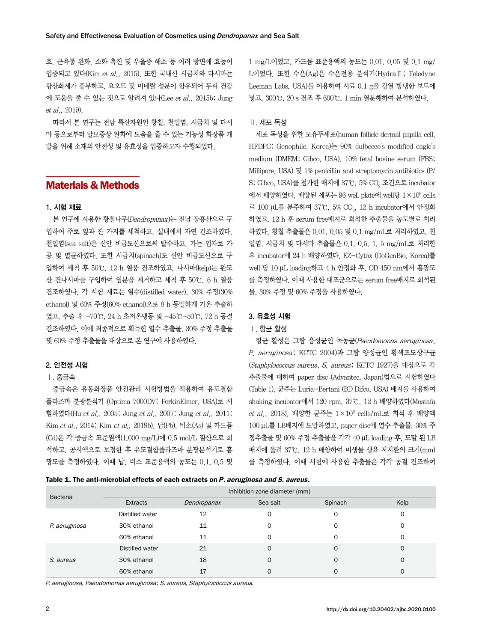호, 근육통 완화, 소화 촉진 및 우울증 해소 등 여러 방면에 효능이 입증되고 있다(Kim et al., 2015). 또한 국내산 시금치와 다시마는 항산화제가 풍부하고, 요오드 및 미네랄 성분이 함유되어 두피 건강 에 도움을 줄 수 있는 것으로 알려져 있다(Lee et al., 2015b; Jung et al., 2019).

따라서 본 연구는 전남 특산자원인 황칠, 천일염, 시금치 및 다시 마 등으로부터 탈모증상 완화에 도움을 줄 수 있는 기능성 화장품 개 발을 위해 소재의 안전성 및 유효성을 입증하고자 수행되었다.

# Materials & Methods

#### 1. 시험 재료

본 연구에 사용한 황칠나무(Dendropanax)는 전남 장흥산으로 구 입하여 주로 잎과 잔 가지를 세척하고, 실내에서 자연 건조하였다. 천일염(sea salt)은 신안 비금도산으로써 탈수하고, 가는 입자로 가 공 및 멸균하였다. 또한 시금치(spinach)도 신안 비금도산으로 구 입하여 세척 후 50℃, 12 h 열풍 건조하였고, 다시마(kelp)는 완도 산 건다시마를 구입하여 염분을 제거하고 세척 후 50℃, 6 h 열풍 건조하였다. 각 시험 재료는 열수(distilled water), 30% 주정(30% ethanol) 및 60% 주정(60% ethanol)으로 8 h 동일하게 가온 추출하 였고, 추출 후 -70℃, 24 h 초저온냉동 및 -45℃-50℃, 72 h 동결 건조하였다. 이에 최종적으로 획득한 열수 추출물, 30% 주정 추출물 및 60% 주정 추출물을 대상으로 본 연구에 사용하였다.

## 2. 안전성 시험

## Ⅰ. 중금속

중금속은 유통화장품 안전관리 시험방법을 적용하여 유도결합 플라즈마 분광분석기 (Optima 7000DV; PerkinElmer, USA)로 시 험하였다(Hu et al., 2005; Jung et al., 2007; Jung et al., 2011; Kim et al., 2014; Kim et al., 2019b). 납(Pb), 비소(As) 및 카드뮴 (Cd)은 각 중금속 표준원액(1,000 mg/L)에 0.5 mol/L 질산으로 희 석하고, 공시액으로 보정한 후 유도결합플라즈마 분광분석기로 흡 광도를 측정하였다. 이때 납, 비소 표준용액의 농도는 0.1, 0.5 및 1 mg/L이었고, 카드뮴 표준용액의 농도는 0.01, 0.05 및 0.1 mg/ L이었다. 또한 수은(Ag)은 수은전용 분석기(HydraⅡ; Teledyne Leeman Labs, USA)를 이용하여 시료 0.1 g을 강열 방냉한 보트에 넣고, 300℃, 20 s 건조 후 600℃, 1 min 열분해하여 분석하였다.

## Ⅱ. 세포 독성

세포 독성을 위한 모유두세포(human follicle dermal papilla cell, HFDPC; Genophile, Korea)는 90% dulbecco's modified eagle's medium (DMEM; Gibco, USA), 10% fetal bovine serum (FBS; Millipore, USA) 및 1% penicillin and streptomycin antibiotics (P/ S; Gibco, USA)를 첨가한 배지에 37℃, 5% CO $_{2}$  조건으로 incubator 에서 배양하였다. 배양된 세포는 96 well plate에 well당 1×106 cells 로 100  $\mu$ L를 분주하여 37℃, 5% CO $_2$ , 12 h incubator에서 안정화 하였고, 12 h 후 serum free배지로 희석한 추출물을 농도별로 처리 하였다. 황칠 추출물은 0.01, 0.05 및 0.1 mg/mL로 처리하였고, 천 일염, 시금치 및 다시마 추출물은 0.1, 0.5, 1, 5 mg/mL로 처리한 후 incubator에 24 h 배양하였다. EZ-Cytox (DoGenBio, Korea)를 well 당 10 µL loading하고 4 h 안정화 후, OD 450 nm에서 흡광도 를 측정하였다. 이때 사용한 대조군으로는 serum free배지로 희석된 물, 30% 주정 및 60% 주정을 사용하였다.

#### 3. 유효성 시험

## Ⅰ. 항균 활성

항균 활성은 그람 음성균인 녹농균(Pseudomonas aeruginosa, P. aeruginosa; KCTC 2004)과 그람 양성균인 황색포도상구균 (Staphylococcus aureus, S. aureus; KCTC 1927)을 대상으로 각 추출물에 대하여 paper disc (Advantec, Japan)법으로 시험하였다 (Table 1). 균주는 Luria-Bertani (BD Difco, USA) 배지를 사용하여 shaking incubator에서 120 rpm, 37℃, 12 h 배양하였다(Mostafa et al., 2018). 배양한 균주는 1×106 cells/mL로 희석 후 배양액 100 µL를 LB배지에 도말하였고, paper disc에 열수 추출물, 30% 주 정추출물 및 60% 주정 추출물을 각각 40 µL loading 후, 도말 된 LB 배지에 올려 37℃, 12 h 배양하여 미생물 생육 저지환의 크기(mm) 를 측정하였다. 이때 시험에 사용한 추출물은 각각 동결 건조하여

| Table 1. The anti-microbial effects of each extracts on P. aeruginosa and S. aureus. |  |
|--------------------------------------------------------------------------------------|--|
|--------------------------------------------------------------------------------------|--|

| <b>Bacteria</b> | Inhibition zone diameter (mm) |             |          |             |      |
|-----------------|-------------------------------|-------------|----------|-------------|------|
|                 | Extracts                      | Dendropanax | Sea salt | Spinach     | Kelp |
| P. aeruginosa   | Distilled water               | 12          | O        | $\Omega$    | 0    |
|                 | 30% ethanol                   | 11          | O        | 0           | 0    |
|                 | 60% ethanol                   | 11          | O        | 0           | 0    |
| S. aureus       | Distilled water               | 21          | $\Omega$ | $\mathbf 0$ | 0    |
|                 | 30% ethanol                   | 18          | O        | O           | 0    |
|                 | 60% ethanol                   | 17          |          | $\Omega$    | 0    |

P. aeruginosa, Pseudomonas aeruginosa; S. aureus, Staphylococcus aureus.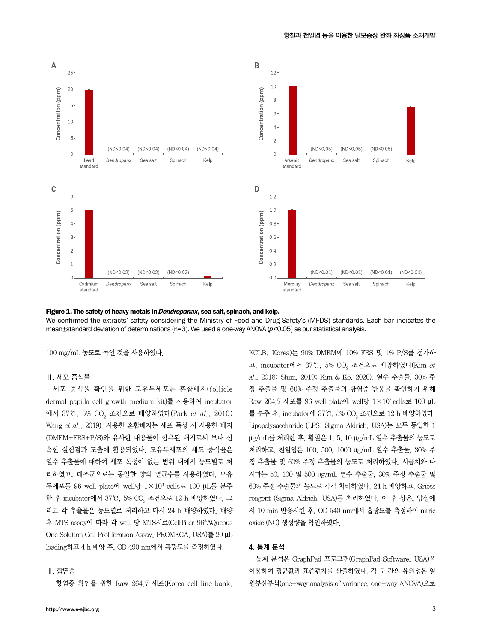

Figure 1. The safety of heavy metals in *Dendropanax*, sea salt, spinach, and kelp. We confirmed the extracts' safety considering the Ministry of Food and Drug Safety's (MFDS) standards. Each bar indicates the mean $\pm$ standard deviation of determinations (n=3). We used a one-way ANOVA ( $p$ <0.05) as our statistical analysis.

100 mg/mL 농도로 녹인 것을 사용하였다.

#### Ⅱ. 세포 증식율

세포 증식율 확인을 위한 모유두세포는 혼합배지(follicle dermal papilla cell growth medium kit)를 사용하여 incubator 에서 37℃, 5% CO<sub>2</sub> 조건으로 배양하였다(Park *et al*., 2010; Wang et al., 2019). 사용한 혼합배지는 세포 독성 시 사용한 배지 (DMEM+FBS+P/S)와 유사한 내용물이 함유된 배지로써 보다 신 속한 실험결과 도출에 활용되었다. 모유두세포의 세포 증식율은 열수 추출물에 대하여 세포 독성이 없는 범위 내에서 농도별로 처 리하였고, 대조군으로는 동일한 양의 멸균수를 사용하였다. 모유 두세포를 96 well plate에 well당 1×106 cells로 100 µL를 분주 한 후 incubator에서 37℃, 5% CO $_{\textrm{\tiny{2}}}$  조건으로 12 h 배양하였다. 그 리고 각 추출물은 농도별로 처리하고 다시 24 h 배양하였다. 배양 후 MTS assay에 따라 각 well 당 MTS시료(CellTiter 96®AQueous One Solution Cell Proliferation Assay, PROMEGA, USA)를 20 µL loading하고 4 h 배양 후, OD 490 nm에서 흡광도를 측정하였다.

#### Ⅲ. 항염증

항염증 확인을 위한 Raw 264.7 세포(Korea cell line bank,

http://www.e-ajbc.org

KCLB; Korea)는 90% DMEM에 10% FBS 및 1% P/S를 첨가하 고, incubator에서 37℃, 5% CO<sub>2</sub> 조건으로 배양하였다(Kim *et* al., 2018; Shim, 2019; Kim & Ko, 2020). 열수 추출물, 30% 주 정 추출물 및 60% 주정 추출물의 항염증 반응을 확인하기 위해 Raw 264.7 세포를 96 well plate에 well당  $1 \times 10^5$  cells로 100 µL 를 분주 후, incubator에 37℃, 5% CO $_2$  조건으로 12 h 배양하였다. Lipopolysaccharide (LPS; Sigma Aldrich, USA)는 모두 동일한 1 µg/mL를 처리한 후, 황칠은 1, 5, 10 µg/mL 열수 추출물의 농도로 처리하고, 천일염은 100, 500, 1000 µg/mL 열수 추출물, 30% 주 정 추출물 및 60% 주정 추출물의 농도로 처리하였다. 시금치와 다 시마는 50, 100 및 500 µg/mL 열수 추출물, 30% 주정 추출물 및 60% 주정 추출물의 농도로 각각 처리하였다. 24 h 배양하고, Griess reagent (Sigma Aldrich, USA)를 처리하였다. 이 후 상온, 암실에 서 10 min 반응시킨 후, OD 540 nm에서 흡광도를 측정하여 nitric oxide (NO) 생성량을 확인하였다.

# 4. 통계 분석

통계 분석은 GraphPad 프로그램(GraphPad Software, USA)을 이용하여 평균값과 표준편차를 산출하였다. 각 군 간의 유의성은 일 원분산분석(one-way analysis of variance, one-way ANOVA)으로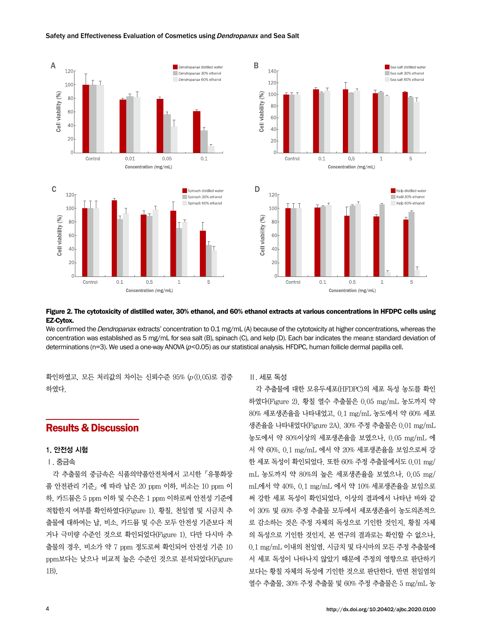#### Safety and Effectiveness Evaluation of Cosmetics using Dendropanax and Sea Salt





#### Figure 2. The cytotoxicity of distilled water, 30% ethanol, and 60% ethanol extracts at various concentrations in HFDPC cells using EZ-Cytox.

We confirmed the *Dendropanax* extracts' concentration to 0.1 mg/mL (A) because of the cytotoxicity at higher concentrations, whereas the concentration was established as 5 mg/mL for sea salt (B), spinach (C), and kelp (D). Each bar indicates the mean $\pm$  standard deviation of determinations (n=3). We used a one-way ANOVA ( $p$ <0.05) as our statistical analysis. HFDPC, human follicle dermal papilla cell.

확인하였고, 모든 처리값의 차이는 신뢰수준 95% (p<0.05)로 검증 하였다.

# Results & Discussion

#### 1. 안전성 시험

## Ⅰ. 중금속

각 추출물의 중금속은 식품의약품안전처에서 고시한「유통화장 품 안전관리 기준」에 따라 납은 20 ppm 이하, 비소는 10 ppm 이 하, 카드뮴은 5 ppm 이하 및 수은은 1 ppm 이하로써 안전성 기준에 적합한지 여부를 확인하였다(Figure 1). 황칠, 천일염 및 시금치 추 출물에 대하여는 납, 비소, 카드뮴 및 수은 모두 안전성 기준보다 적 거나 극미량 수준인 것으로 확인되었다(Figure 1). 다만 다시마 추 출물의 경우, 비소가 약 7 ppm 정도로써 확인되어 안전성 기준 10 ppm보다는 낮으나 비교적 높은 수준인 것으로 분석되었다(Figure 1B).

## Ⅱ. 세포 독성

각 추출물에 대한 모유두세포(HFDPC)의 세포 독성 농도를 확인 하였다(Figure 2). 황칠 열수 추출물은 0.05 mg/mL 농도까지 약 80% 세포생존율을 나타내었고, 0.1 mg/mL 농도에서 약 60% 세포 생존율을 나타내었다(Figure 2A). 30% 주정 추출물은 0.01 mg/mL 농도에서 약 80%이상의 세포생존율을 보였으나, 0.05 mg/mL 에 서 약 60%, 0.1 mg/mL 에서 약 20% 세포생존율을 보임으로써 강 한 세포 독성이 확인되었다. 또한 60% 주정 추출물에서도 0.01 mg/ mL 농도까지 약 80%의 높은 세포생존율을 보였으나, 0.05 mg/ mL에서 약 40%, 0.1 mg/mL 에서 약 10% 세포생존율을 보임으로 써 강한 세포 독성이 확인되었다. 이상의 결과에서 나타난 바와 같 이 30% 및 60% 주정 추출물 모두에서 세포생존율이 농도의존적으 로 감소하는 것은 주정 자체의 독성으로 기인한 것인지, 황칠 자체 의 독성으로 기인한 것인지, 본 연구의 결과로는 확인할 수 없으나, 0.1 mg/mL 이내의 천일염, 시금치 및 다시마의 모든 주정 추출물에 서 세포 독성이 나타나지 않았기 때문에 주정의 영향으로 판단하기 보다는 황칠 자체의 독성에 기인한 것으로 판단한다. 반면 천일염의 열수 추출물, 30% 주정 추출물 및 60% 주정 추출물은 5 mg/mL 농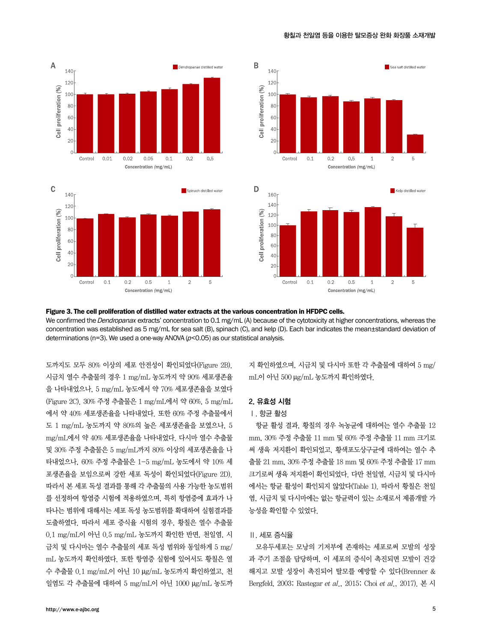







#### Figure 3. The cell proliferation of distilled water extracts at the various concentration in HFDPC cells.

We confirmed the *Dendropanax* extracts' concentration to 0.1 mg/mL (A) because of the cytotoxicity at higher concentrations, whereas the concentration was established as 5 mg/mL for sea salt (B), spinach (C), and kelp (D). Each bar indicates the mean±standard deviation of determinations (n=3). We used a one-way ANOVA ( $p$ <0.05) as our statistical analysis.

도까지도 모두 80% 이상의 세포 안전성이 확인되었다(Figure 2B). 시금치 열수 추출물의 경우 1 mg/mL 농도까지 약 90% 세포생존율 을 나타내었으나, 5 mg/mL 농도에서 약 70% 세포생존율을 보였다 (Figure 2C). 30% 주정 추출물은 1 mg/mL에서 약 60%, 5 mg/mL 에서 약 40% 세포생존율을 나타내었다. 또한 60% 주정 추출물에서 도 1 mg/mL 농도까지 약 80%의 높은 세포생존율을 보였으나, 5 mg/mL에서 약 40% 세포생존율을 나타내었다. 다시마 열수 추출물 및 30% 주정 추출물은 5 mg/mL까지 80% 이상의 세포생존율을 나 타내었으나, 60% 주정 추출물은 1-5 mg/mL 농도에서 약 10% 세 포생존율을 보임으로써 강한 세포 독성이 확인되었다(Figure 2D). 따라서 본 세포 독성 결과를 통해 각 추출물의 사용 가능한 농도범위 를 선정하여 항염증 시험에 적용하였으며, 특히 항염증에 효과가 나 타나는 범위에 대해서는 세포 독성 농도범위를 확대하여 실험결과를 도출하였다. 따라서 세포 증식율 시험의 경우, 황칠은 열수 추출물 0.1 mg/mL이 아닌 0.5 mg/mL 농도까지 확인한 반면, 천일염, 시 금치 및 다시마는 열수 추출물의 세포 독성 범위와 동일하게 5 mg/ mL 농도까지 확인하였다. 또한 항염증 실험에 있어서도 황칠은 열 수 추출물 0.1 mg/mL이 아닌 10 µg/mL 농도까지 확인하였고, 천 일염도 각 추출물에 대하여 5 mg/mL이 아닌 1000 µg/mL 농도까

지 확인하였으며, 시금치 및 다시마 또한 각 추출물에 대하여 5 mg/ mL이 아닌 500 µg/mL 농도까지 확인하였다.

## 2. 유효성 시험

## Ⅰ. 항균 활성

항균 활성 결과, 황칠의 경우 녹농균에 대하여는 열수 추출물 12 mm, 30% 주정 추출물 11 mm 및 60% 주정 추출물 11 mm 크기로 써 생육 저지환이 확인되었고, 황색포도상구균에 대하여는 열수 추 출물 21 mm, 30% 주정 추출물 18 mm 및 60% 주정 추출물 17 mm 크기로써 생육 저지환이 확인되었다. 다만 천일염, 시금치 및 다시마 에서는 항균 활성이 확인되지 않았다(Table 1). 따라서 황칠은 천일 염, 시금치 및 다시마에는 없는 항균력이 있는 소재로서 제품개발 가 능성을 확인할 수 있었다.

#### Ⅱ. 세포 증식율

모유두세포는 모낭의 기저부에 존재하는 세포로써 모발의 성장 과 주기 조절을 담당하며, 이 세포의 증식이 촉진되면 모발이 건강 해지고 모발 성장이 촉진되어 탈모를 예방할 수 있다(Brenner & Bergfeld, 2003; Rastegar et al., 2015; Choi et al., 2017). 본 시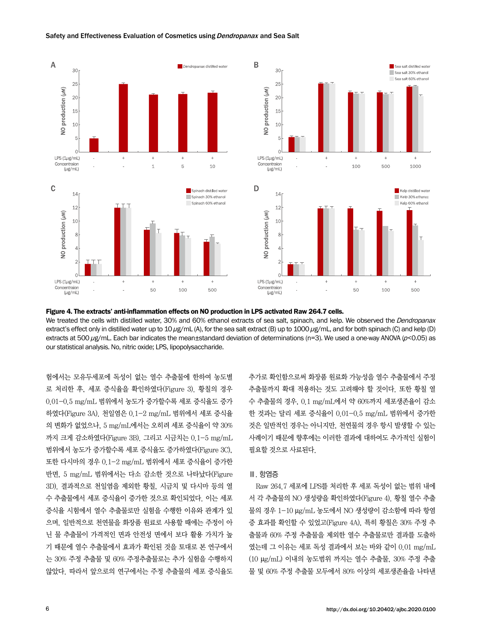#### Safety and Effectiveness Evaluation of Cosmetics using Dendropanax and Sea Salt





Figure 4. The extracts' anti-inflammation effects on NO production in LPS activated Raw 264.7 cells. We treated the cells with distilled water, 30% and 60% ethanol extracts of sea salt, spinach, and kelp. We observed the Dendropanax extract's effect only in distilled water up to 10 μg/mL (A), for the sea salt extract (B) up to 1000 μg/mL, and for both spinach (C) and kelp (D) extracts at 500 μg/mL. Each bar indicates the mean±standard deviation of determinations (n=3). We used a one-way ANOVA (p<0.05) as our statistical analysis. No, nitric oxide; LPS, lipopolysaccharide.

험에서는 모유두세포에 독성이 없는 열수 추출물에 한하여 농도별 로 처리한 후, 세포 증식율을 확인하였다(Figure 3). 황칠의 경우 0.01-0.5 mg/mL 범위에서 농도가 증가할수록 세포 증식율도 증가 하였다(Figure 3A). 천일염은 0.1-2 mg/mL 범위에서 세포 증식율 의 변화가 없었으나, 5 mg/mL에서는 오히려 세포 증식율이 약 30% 까지 크게 감소하였다(Figure 3B). 그리고 시금치는 0.1-5 mg/mL 범위에서 농도가 증가할수록 세포 증식율도 증가하였다(Figure 3C), 또한 다시마의 경우 0.1-2 mg/mL 범위에서 세포 증식율이 증가한 반면, 5 mg/mL 범위에서는 다소 감소한 것으로 나타났다(Figure 3D). 결과적으로 천일염을 제외한 황칠, 시금치 및 다시마 등의 열 수 추출물에서 세포 증식율이 증가한 것으로 확인되었다. 이는 세포 증식율 시험에서 열수 추출물로만 실험을 수행한 이유와 관계가 있 으며, 일반적으로 천연물을 화장품 원료로 사용할 때에는 주정이 아 닌 물 추출물이 가격적인 면과 안전성 면에서 보다 활용 가치가 높 기 때문에 열수 추출물에서 효과가 확인된 것을 토대로 본 연구에서 는 30% 주정 추출물 및 60% 주정추출물로는 추가 실험을 수행하지 않았다. 따라서 앞으로의 연구에서는 주정 추출물의 세포 증식율도

추가로 확인함으로써 화장품 원료화 가능성을 열수 추출물에서 주정 추출물까지 확대 적용하는 것도 고려해야 할 것이다. 또한 황칠 열 수 추출물의 경우, 0.1 mg/mL에서 약 60%까지 세포생존율이 감소 한 것과는 달리 세포 증식율이 0.01-0.5 mg/mL 범위에서 증가한 것은 일반적인 경우는 아니지만, 천연물의 경우 항시 발생할 수 있는 사례이기 때문에 향후에는 이러한 결과에 대하여도 추가적인 실험이 필요할 것으로 사료된다.

#### Ⅲ. 항염증

Raw 264.7 세포에 LPS를 처리한 후 세포 독성이 없는 범위 내에 서 각 추출물의 NO 생성량을 확인하였다(Figure 4). 황칠 열수 추출 물의 경우 1-10 µg/mL 농도에서 NO 생성량이 감소함에 따라 항염 증 효과를 확인할 수 있었고(Figure 4A), 특히 황칠은 30% 주정 추 출물과 60% 주정 추출물을 제외한 열수 추출물로만 결과를 도출하 였는데 그 이유는 세포 독성 결과에서 보는 바와 같이 0.01 mg/mL (10 µg/mL) 이내의 농도범위 까지는 열수 추출물, 30% 주정 추출 물 및 60% 주정 추출물 모두에서 80% 이상의 세포생존율을 나타낸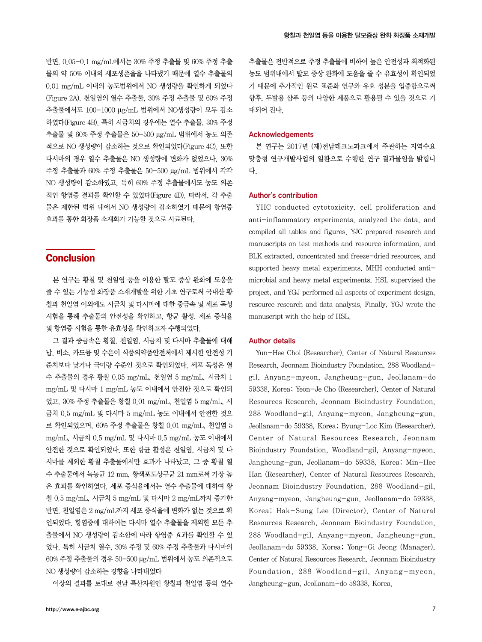반면, 0.05-0.1 mg/mL에서는 30% 주정 추출물 및 60% 주정 추출 물의 약 50% 이내의 세포생존율을 나타냈기 때문에 열수 추출물의 0.01 mg/mL 이내의 농도범위에서 NO 생성량을 확인하게 되었다 (Figure 2A). 천일염의 열수 추출물, 30% 주정 추출물 및 60% 주정 추출물에서도 100-1000 µg/mL 범위에서 NO생성량이 모두 감소 하였다(Figure 4B). 특히 시금치의 경우에는 열수 추출물, 30% 주정 추출물 및 60% 주정 추출물은 50-500 µg/mL 범위에서 농도 의존 적으로 NO 생성량이 감소하는 것으로 확인되었다(Figure 4C). 또한 다시마의 경우 열수 추출물은 NO 생성량에 변화가 없었으나, 30% 주정 추출물과 60% 주정 추출물은 50-500 µg/mL 범위에서 각각 NO 생성량이 감소하였고, 특히 60% 주정 추출물에서도 농도 의존 적인 항염증 결과를 확인할 수 있었다(Figure 4D). 따라서, 각 추출 물은 제한된 범위 내에서 NO 생성량이 감소하였기 때문에 항염증 효과를 통한 화장품 소재화가 가능할 것으로 사료된다.

# **Conclusion**

본 연구는 황칠 및 천일염 등을 이용한 탈모 증상 완화에 도움을 줄 수 있는 기능성 화장품 소재개발을 위한 기초 연구로써 국내산 황 칠과 천일염 이외에도 시금치 및 다시마에 대한 중금속 및 세포 독성 시험을 통해 추출물의 안전성을 확인하고, 항균 활성, 세포 증식율 및 항염증 시험을 통한 유효성을 확인하고자 수행되었다.

그 결과 중금속은 황칠, 천일염, 시금치 및 다시마 추출물에 대해 납, 비소, 카드뮴 및 수은이 식품의약품안전처에서 제시한 안전성 기 준치보다 낮거나 극미량 수준인 것으로 확인되었다. 세포 독성은 열 수 추출물의 경우 황칠 0.05 mg/mL, 천일염 5 mg/mL, 시금치 1 mg/mL 및 다시마 1 mg/mL 농도 이내에서 안전한 것으로 확인되 었고, 30% 주정 추출물은 황칠 0.01 mg/mL, 천일염 5 mg/mL, 시 금치 0.5 mg/mL 및 다시마 5 mg/mL 농도 이내에서 안전한 것으 로 확인되었으며, 60% 주정 추출물은 황칠 0.01 mg/mL, 천일염 5 mg/mL, 시금치 0.5 mg/mL 및 다시마 0.5 mg/mL 농도 이내에서 안전한 것으로 확인되었다. 또한 항균 활성은 천일염, 시금치 및 다 시마를 제외한 황칠 추출물에서만 효과가 나타났고, 그 중 황칠 열 수 추출물에서 녹농균 12 mm, 황색포도상구균 21 mm로써 가장 높 은 효과를 확인하였다. 세포 증식율에서는 열수 추출물에 대하여 황 칠 0.5 mg/mL, 시금치 5 mg/mL 및 다시마 2 mg/mL까지 증가한 반면, 천일염은 2 mg/mL까지 세포 증식율에 변화가 없는 것으로 확 인되었다. 항염증에 대하여는 다시마 열수 추출물을 제외한 모든 추 출물에서 NO 생성량이 감소함에 따라 항염증 효과를 확인할 수 있 었다. 특히 시금치 열수, 30% 주정 및 60% 주정 추출물과 다시마의 60% 주정 추출물의 경우 50-500 µg/mL 범위에서 농도 의존적으로 NO 생성량이 감소하는 경향을 나타내었다

이상의 결과를 토대로 전남 특산자원인 황칠과 천일염 등의 열수

추출물은 전반적으로 주정 추출물에 비하여 높은 안전성과 최적화된 농도 범위내에서 탈모 증상 완화에 도움을 줄 수 유효성이 확인되었 기 때문에 추가적인 원료 표준화 연구와 유효 성분을 입증함으로써 향후, 두발용 샴푸 등의 다양한 제품으로 활용될 수 있을 것으로 기 대되어 진다.

#### Acknowledgements

본 연구는 2017년 (재)전남테크노파크에서 주관하는 지역수요 맞춤형 연구개발사업의 일환으로 수행한 연구 결과물임을 밝힙니 다.

#### Author's contribution

YHC conducted cytotoxicity, cell proliferation and anti-inflammatory experiments, analyzed the data, and compiled all tables and figures. YJC prepared research and manuscripts on test methods and resource information, and BLK extracted, concentrated and freeze-dried resources, and supported heavy metal experiments. MHH conducted antimicrobial and heavy metal experiments. HSL supervised the project, and YGJ performed all aspects of experiment design, resource research and data analysis. Finally, YGJ wrote the manuscript with the help of HSL.

#### Author details

Yun-Hee Choi (Researcher), Center of Natural Resources Research, Jeonnam Bioindustry Foundation, 288 Woodlandgil, Anyang-myeon, Jangheung-gun, Jeollanam-do 59338, Korea; Yeon-Je Cho (Researcher), Center of Natural Resources Research, Jeonnam Bioindustry Foundation, 288 Woodland-gil, Anyang-myeon, Jangheung-gun, Jeollanam-do 59338, Korea; Byung-Loc Kim (Researcher), Center of Natural Resources Research, Jeonnam Bioindustry Foundation, Woodland-gil, Anyang-myeon, Jangheung-gun, Jeollanam-do 59338, Korea; Min-Hee Han (Researcher), Center of Natural Resources Research, Jeonnam Bioindustry Foundation, 288 Woodland-gil, Anyang-myeon, Jangheung-gun, Jeollanam-do 59338, Korea; Hak-Sung Lee (Director), Center of Natural Resources Research, Jeonnam Bioindustry Foundation, 288 Woodland-gil, Anyang-myeon, Jangheung-gun, Jeollanam-do 59338, Korea; Yong-Gi Jeong (Manager), Center of Natural Resources Research, Jeonnam Bioindustry Foundation, 288 Woodland-gil, Anyang-myeon, Jangheung-gun, Jeollanam-do 59338, Korea.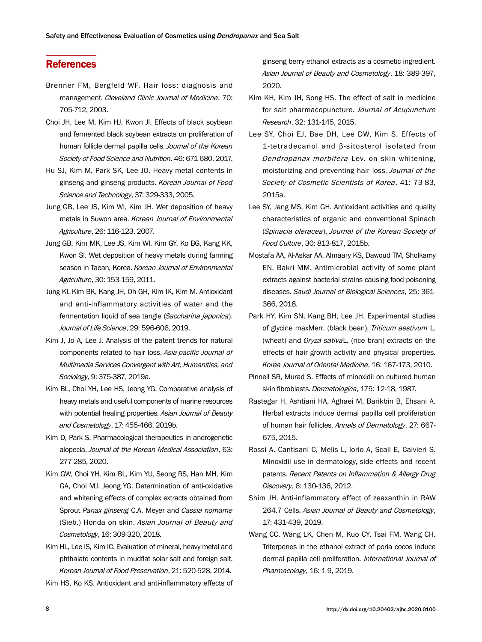# **References**

- Brenner FM, Bergfeld WF. Hair loss: diagnosis and management. Cleveland Clinic Journal of Medicine, 70: 705-712, 2003.
- Choi JH, Lee M, Kim HJ, Kwon JI. Effects of black soybean and fermented black soybean extracts on proliferation of human follicle dermal papilla cells. Journal of the Korean Society of Food Science and Nutrition. 46: 671-680, 2017.
- Hu SJ, Kim M, Park SK, Lee JO. Heavy metal contents in ginseng and ginseng products. Korean Journal of Food Science and Technology, 37: 329-333, 2005.
- Jung GB, Lee JS, Kim WI, Kim JH. Wet deposition of heavy metals in Suwon area. Korean Journal of Environmental Agriculture, 26: 116-123, 2007.
- Jung GB, Kim MK, Lee JS, Kim WI, Kim GY, Ko BG, Kang KK, Kwon SI. Wet deposition of heavy metals during farming season in Taean, Korea. Korean Journal of Environmental Agriculture, 30: 153-159, 2011.
- Jung KI, Kim BK, Kang JH, Oh GH, Kim IK, Kim M. Antioxidant and anti-inflammatory activities of water and the fermentation liquid of sea tangle (Saccharina japonica). Journal of Life Science, 29: 596-606, 2019.
- Kim J, Jo A, Lee J. Analysis of the patent trends for natural components related to hair loss. Asia-pacific Journal of Multimedia Services Convergent with Art, Humanities, and Sociology, 9: 375-387, 2019a.
- Kim BL, Choi YH, Lee HS, Jeong YG. Comparative analysis of heavy metals and useful components of marine resources with potential healing properties. Asian Journal of Beauty and Cosmetology, 17: 455-466, 2019b.
- Kim D, Park S. Pharmacological therapeutics in androgenetic alopecia. Journal of the Korean Medical Association, 63: 277-285, 2020.
- Kim GW, Choi YH, Kim BL, Kim YU, Seong RS, Han MH, Kim GA, Choi MJ, Jeong YG. Determination of anti-oxidative and whitening effects of complex extracts obtained from Sprout Panax ginseng C.A. Meyer and Cassia nomame (Sieb.) Honda on skin. Asian Journal of Beauty and Cosmetology, 16: 309-320, 2018.
- Kim HL, Lee IS, Kim IC. Evaluation of mineral, heavy metal and phthalate contents in mudflat solar salt and foreign salt. Korean Journal of Food Preservation, 21: 520-528, 2014.

Kim HS, Ko KS. Antioxidant and anti-inflammatory effects of

ginseng berry ethanol extracts as a cosmetic ingredient. Asian Journal of Beauty and Cosmetology, 18: 389-397, 2020.

- Kim KH, Kim JH, Song HS. The effect of salt in medicine for salt pharmacopuncture. Journal of Acupuncture Research, 32: 131-145, 2015.
- Lee SY, Choi EJ, Bae DH, Lee DW, Kim S. Effects of 1-tetradecanol and β-sitosterol isolated from Dendropanax morbifera Lev. on skin whitening, moisturizing and preventing hair loss. Journal of the Society of Cosmetic Scientists of Korea, 41: 73-83, 2015a.
- Lee SY, Jang MS, Kim GH. Antioxidant activities and quality characteristics of organic and conventional Spinach (Spinacia oleracea). Journal of the Korean Society of Food Culture, 30: 813-817, 2015b.
- Mostafa AA, Al-Askar AA, Almaary KS, Dawoud TM, Sholkamy EN, Bakri MM. Antimicrobial activity of some plant extracts against bacterial strains causing food poisoning diseases. Saudi Journal of Biological Sciences, 25: 361- 366, 2018.
- Park HY, Kim SN, Kang BH, Lee JH. Experimental studies of glycine maxMerr. (black bean), Triticum aestivum L. (wheat) and *Oryza sativaL*. (rice bran) extracts on the effects of hair growth activity and physical properties. Korea Journal of Oriental Medicine, 16: 167-173, 2010.
- Pinnell SR, Murad S. Effects of minoxidil on cultured human skin fibroblasts. Dermatologica, 175: 12-18, 1987.
- Rastegar H, Ashtiani HA, Aghaei M, Barikbin B, Ehsani A. Herbal extracts induce dermal papilla cell proliferation of human hair follicles. Annals of Dermatology, 27: 667- 675, 2015.
- Rossi A, Cantisani C, Melis L, Iorio A, Scali E, Calvieri S. Minoxidil use in dermatology, side effects and recent patents. Recent Patents on Inflammation & Allergy Drug Discovery, 6: 130-136, 2012.
- Shim JH. Anti-inflammatory effect of zeaxanthin in RAW 264.7 Cells. Asian Journal of Beauty and Cosmetology, 17: 431-439, 2019.
- Wang CC, Wang LK, Chen M, Kuo CY, Tsai FM, Wang CH. Triterpenes in the ethanol extract of poria cocos induce dermal papilla cell proliferation. International Journal of Pharmacology, 16: 1-9, 2019.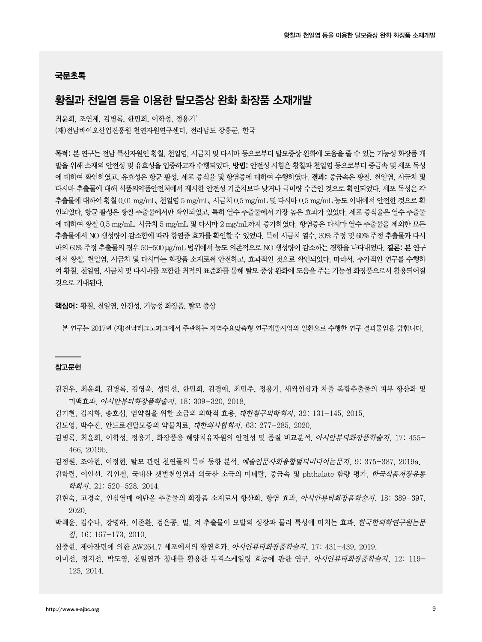#### 국문초록

# 황칠과 천일염 등을 이용한 탈모증상 완화 화장품 소재개발

최윤희, 조연제, 김병록, 한민희, 이학성, 정용기\* (재)전남바이오산업진흥원 천연자원연구센터, 전라남도 장흥군, 한국

목적: 본 연구는 전남 특산자원인 황칠, 천일염, 시금치 및 다시마 등으로부터 탈모증상 완화에 도움을 줄 수 있는 기능성 화장품 개 발을 위해 소재의 안전성 및 유효성을 입증하고자 수행되었다. 방법: 안전성 시험은 황칠과 천일염 등으로부터 중금속 및 세포 독성 에 대하여 확인하였고, 유효성은 항균 활성, 세포 증식율 및 항염증에 대하여 수행하였다. 결과: 중금속은 황칠, 천일염, 시금치 및 다시마 추출물에 대해 식품의약품안전처에서 제시한 안전성 기준치보다 낮거나 극미량 수준인 것으로 확인되었다. 세포 독성은 각 추출물에 대하여 황칠 0.01 mg/mL, 천일염 5 mg/mL, 시금치 0.5 mg/mL 및 다시마 0.5 mg/mL 농도 이내에서 안전한 것으로 확 인되었다. 항균 활성은 황칠 추출물에서만 확인되었고, 특히 열수 추출물에서 가장 높은 효과가 있었다. 세포 증식율은 열수 추출물 에 대하여 황칠 0.5 mg/mL, 시금치 5 mg/mL 및 다시마 2 mg/mL까지 증가하였다. 항염증은 다시마 열수 추출물을 제외한 모든 추출물에서 NO 생성량이 감소함에 따라 항염증 효과를 확인할 수 있었다. 특히 시금치 열수, 30% 주정 및 60% 주정 추출물과 다시 마의 60% 주정 추출물의 경우 50-500 µg/mL 범위에서 농도 의존적으로 NO 생성량이 감소하는 경향을 나타내었다. 결론: 본 연구 에서 황칠, 천일염, 시금치 및 다시마는 화장품 소재로써 안전하고, 효과적인 것으로 확인되었다. 따라서, 추가적인 연구를 수행하 여 황칠, 천일염, 시금치 및 다시마를 포함한 최적의 표준화를 통해 탈모 증상 완화에 도움을 주는 기능성 화장품으로서 활용되어질 것으로 기대된다.

핵심어: 황칠, 천일염, 안전성, 기능성 화장품, 탈모 증상

본 연구는 2017년 (재)전남테크노파크에서 주관하는 지역수요맞춤형 연구개발사업의 일환으로 수행한 연구 결과물임을 밝힙니다.

#### 참고문헌

- 김건우, 최윤희, 김병록, 김영욱, 성락선, 한민희, 김경애, 최민주, 정용기. 새싹인삼과 차풀 복합추출물의 피부 항산화 및 미백효과. 아시안뷰티화장품학술지, 18: 309-320, 2018.
- 김기현, 김지화, 송호섭. 염약침을 위한 소금의 의학적 효용. 대한침구의학회지, 32: 131-145, 2015.
- 김도영, 박수진. 안드로겐탈모증의 약물치료. 대한의사협회지, 63: 277-285, 2020.
- 김병록, 최윤희, 이학성, 정용기. 화장품용 해양치유자원의 안전성 및 품질 비교분석. 아시안뷰티화장품학술지, 17: 455- 466, 2019b.
- 김정원, 조아현, 이정현. 탈모 관련 천연물의 특허 동향 분석. 예술인문사회융합멀티미디어논문지, 9: 375-387, 2019a.
- 김학렬, 이인선, 김인철. 국내산 갯벌천일염과 외국산 소금의 미네랄, 중금속 및 phthalate 함량 평가. *한국식품저장유통* 학회지, 21: 520-528, 2014.
- 김현숙, 고경숙. 인삼열매 에탄올 추출물의 화장품 소재로서 항산화, 항염 효과. 아시안뷰티화장품학술지, 18: 389-397, 2020.
- 박혜윤, 김수나, 강병하, 이존환, 검은콩, 밀, 겨 추출물이 모발의 성장과 물리 특성에 미치는 효과, *한국한의학연구원논문* 집, 16: 167-173, 2010.
- 심중현. 제아잔틴에 의한 AW264.7 세포에서의 항염효과. 아시안뷰티화장품학술지, 17: 431-439, 2019.
- 이미선, 정지선, 박도영. 천일염과 청대를 활용한 두피스케일링 효능에 관한 연구. 아시안뷰티화장품학술지, 12: 119- 125, 2014.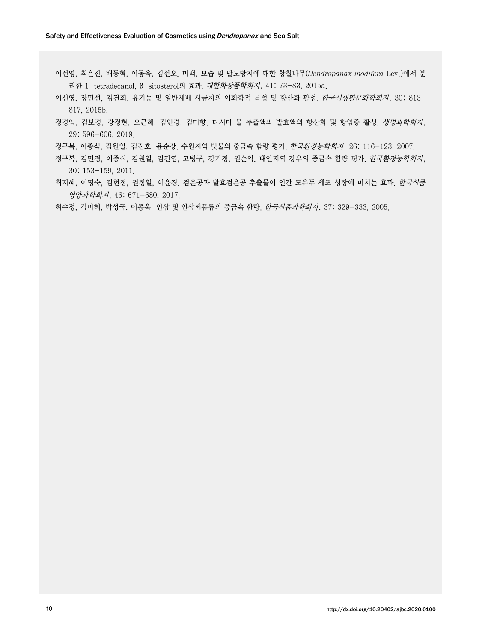- 이선영, 최은진, 배동혁, 이동욱, 김선오. 미백, 보습 및 탈모방지에 대한 황칠나무(Dendropanax modifera Lev.)에서 분 리한 1-tetradecanol, β-sitosterol의 효과. 대한화장품학회지, 41: 73-83, 2015a.
- 이신영, 장민선, 김건희. 유기농 및 일반재배 시금치의 이화학적 특성 및 항산화 활성. 한국식생활문화학회지, 30: 813- 817, 2015b.
- 정경임, 김보경, 강정현, 오근혜, 김인경, 김미향. 다시마 물 추출액과 발효액의 항산화 및 항염증 활성. 생명과학회지, 29: 596-606, 2019.
- 정구복, 이종식, 김원일, 김진호, 윤순강. 수원지역 빗물의 중금속 함량 평가. 한국환경농학회지, 26: 116-123, 2007.
- 정구복, 김민경, 이종식, 김원일, 김건엽, 고병구, 강기경, 권순익. 태안지역 강우의 중금속 함량 평가. 한국환경농학회지, 30: 153-159, 2011.
- 최지혜, 이명숙, 김현정, 권정일, 이윤경. 검은콩과 발효검은콩 추출물이 인간 모유두 세포 성장에 미치는 효과. 한국식품 영양과학회지, 46: 671-680, 2017.
- 허수정, 김미혜, 박성국, 이종욱. 인삼 및 인삼제품류의 중금속 함량. 한국식품과학회지, 37: 329-333. 2005.